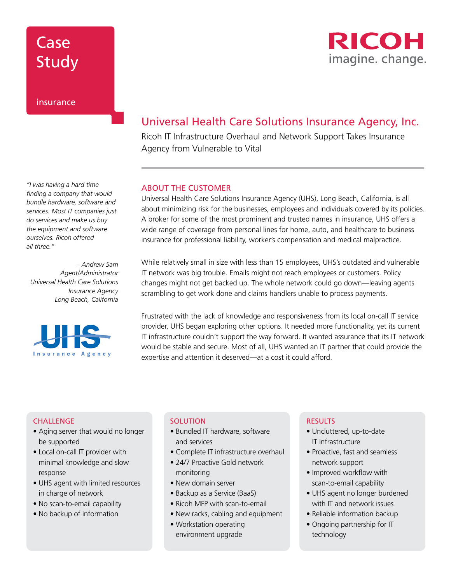### Case Study



### insurance

*"I was having a hard time finding a company that would bundle hardware, software and services. Most IT companies just do services and make us buy the equipment and software ourselves. Ricoh offered all three."*

*– Andrew Sam Agent/Administrator Universal Health Care Solutions Insurance Agency Long Beach, California*



### Universal Health Care Solutions Insurance Agency, Inc.

Ricoh IT Infrastructure Overhaul and Network Support Takes Insurance Agency from Vulnerable to Vital

#### ABOUT THE CUSTOMER

Universal Health Care Solutions Insurance Agency (UHS), Long Beach, California, is all about minimizing risk for the businesses, employees and individuals covered by its policies. A broker for some of the most prominent and trusted names in insurance, UHS offers a wide range of coverage from personal lines for home, auto, and healthcare to business insurance for professional liability, worker's compensation and medical malpractice.

While relatively small in size with less than 15 employees, UHS's outdated and vulnerable IT network was big trouble. Emails might not reach employees or customers. Policy changes might not get backed up. The whole network could go down—leaving agents scrambling to get work done and claims handlers unable to process payments.

Frustrated with the lack of knowledge and responsiveness from its local on-call IT service provider, UHS began exploring other options. It needed more functionality, yet its current IT infrastructure couldn't support the way forward. It wanted assurance that its IT network would be stable and secure. Most of all, UHS wanted an IT partner that could provide the expertise and attention it deserved—at a cost it could afford.

#### **CHALLENGE**

- Aging server that would no longer be supported
- Local on-call IT provider with minimal knowledge and slow response
- UHS agent with limited resources in charge of network
- No scan-to-email capability
- No backup of information

#### **SOLUTION**

- Bundled IT hardware, software and services
- Complete IT infrastructure overhaul
- 24/7 Proactive Gold network monitoring
- New domain server
- Backup as a Service (BaaS)
- Ricoh MFP with scan-to-email
- New racks, cabling and equipment
- Workstation operating environment upgrade

#### RESULTS

- Uncluttered, up-to-date IT infrastructure
- Proactive, fast and seamless network support
- Improved workflow with scan-to-email capability
- UHS agent no longer burdened with IT and network issues
- Reliable information backup
- Ongoing partnership for IT technology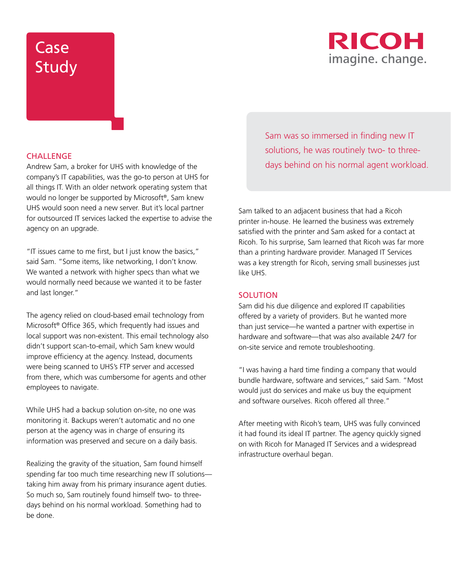## Case Study



#### **CHALLENGE**

Andrew Sam, a broker for UHS with knowledge of the company's IT capabilities, was the go-to person at UHS for all things IT. With an older network operating system that would no longer be supported by Microsoft®, Sam knew UHS would soon need a new server. But it's local partner for outsourced IT services lacked the expertise to advise the agency on an upgrade.

"IT issues came to me first, but I just know the basics," said Sam. "Some items, like networking, I don't know. We wanted a network with higher specs than what we would normally need because we wanted it to be faster and last longer."

The agency relied on cloud-based email technology from Microsoft® Office 365, which frequently had issues and local support was non-existent. This email technology also didn't support scan-to-email, which Sam knew would improve efficiency at the agency. Instead, documents were being scanned to UHS's FTP server and accessed from there, which was cumbersome for agents and other employees to navigate.

While UHS had a backup solution on-site, no one was monitoring it. Backups weren't automatic and no one person at the agency was in charge of ensuring its information was preserved and secure on a daily basis.

Realizing the gravity of the situation, Sam found himself spending far too much time researching new IT solutions taking him away from his primary insurance agent duties. So much so, Sam routinely found himself two- to threedays behind on his normal workload. Something had to be done.

Sam was so immersed in finding new IT solutions, he was routinely two- to threedays behind on his normal agent workload.

Sam talked to an adjacent business that had a Ricoh printer in-house. He learned the business was extremely satisfied with the printer and Sam asked for a contact at Ricoh. To his surprise, Sam learned that Ricoh was far more than a printing hardware provider. Managed IT Services was a key strength for Ricoh, serving small businesses just like UHS.

#### **SOLUTION**

Sam did his due diligence and explored IT capabilities offered by a variety of providers. But he wanted more than just service—he wanted a partner with expertise in hardware and software—that was also available 24/7 for on-site service and remote troubleshooting.

"I was having a hard time finding a company that would bundle hardware, software and services," said Sam. "Most would just do services and make us buy the equipment and software ourselves. Ricoh offered all three."

After meeting with Ricoh's team, UHS was fully convinced it had found its ideal IT partner. The agency quickly signed on with Ricoh for Managed IT Services and a widespread infrastructure overhaul began.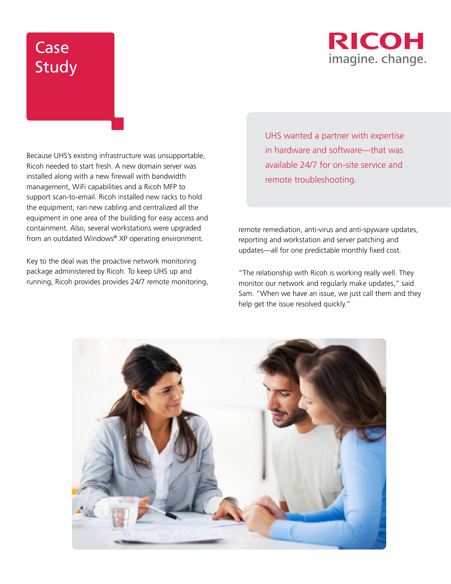### RICOH imagine. change.

# Case Study

Because UHS's existing infrastructure was unsupportable, Ricoh needed to start fresh. A new domain server was installed along with a new firewall with bandwidth management, WiFi capabilities and a Ricoh MFP to support scan-to-email. Ricoh installed new racks to hold the equipment, ran new cabling and centralized all the equipment in one area of the building for easy access and containment. Also, several workstations were upgraded from an outdated Windows® XP operating environment.

Key to the deal was the proactive network monitoring package administered by Ricoh. To keep UHS up and running, Ricoh provides provides 24/7 remote monitoring, UHS wanted a partner with expertise in hardware and software—that was available 24/7 for on-site service and remote troubleshooting.

remote remediation, anti-virus and anti-spyware updates, reporting and workstation and server patching and updates—all for one predictable monthly fixed cost.

"The relationship with Ricoh is working really well. They monitor our network and regularly make updates," said Sam. "When we have an issue, we just call them and they help get the issue resolved quickly."